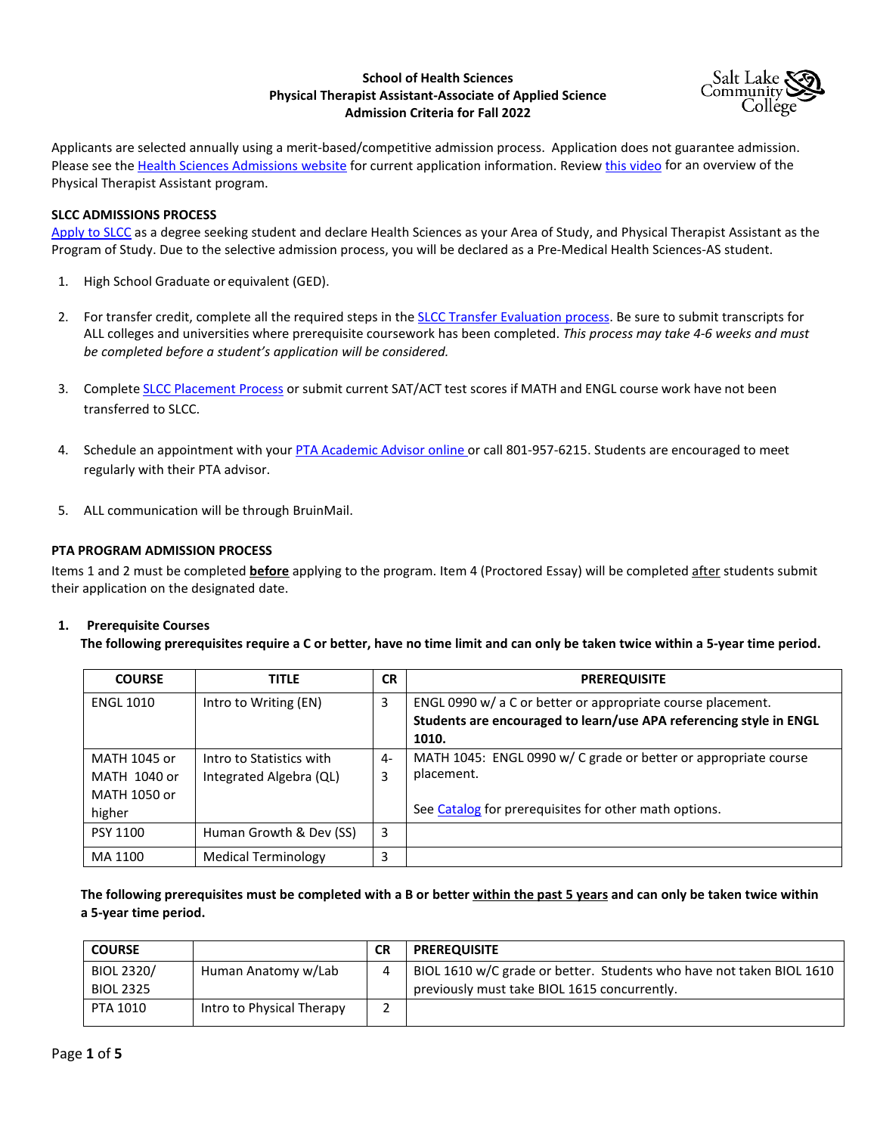# **School of Health Sciences Physical Therapist Assistant-Associate of Applied Science Admission Criteria for Fall 2022**



Applicants are selected annually using a merit-based/competitive admission process. Application does not guarantee admission. Please see the [Health Sciences Admissions website](http://www.slcc.edu/hs/admissions/index.aspx) for current application information. Review [this video](https://youtu.be/gYmFf_JeVKg) for an overview of the Physical Therapist Assistant program.

# **SLCC ADMISSIONS PROCESS**

[Apply to SLCC](http://www.slcc.edu/) as a degree seeking student and declare Health Sciences as your Area of Study, and Physical Therapist Assistant as the Program of Study. Due to the selective admission process, you will be declared as a Pre-Medical Health Sciences-AS student.

- 1. High School Graduate or equivalent (GED).
- 2. For transfer credit, complete all the required steps in th[e SLCC Transfer Evaluation process.](http://www.slcc.edu/transcriptevaluation/) Be sure to submit transcripts for ALL colleges and universities where prerequisite coursework has been completed. *This process may take 4-6 weeks and must be completed before a student's application will be considered.*
- 3. Complete [SLCC Placement Process](http://www.slcc.edu/testing/) or submit current SAT/ACT test scores if MATH and ENGL course work have not been transferred to SLCC.
- 4. Schedule an appointment with you[r PTA Academic Advisor](http://www.slcc.edu/academicadvising/find-your-advisor-by-program.aspx) online or call 801-957-6215. Students are encouraged to meet regularly with their PTA advisor.
- 5. ALL communication will be through BruinMail.

### **PTA PROGRAM ADMISSION PROCESS**

Items 1 and 2 must be completed **before** applying to the program. Item 4 (Proctored Essay) will be completed after students submit their application on the designated date.

### **1. Prerequisite Courses**

**The following prerequisites require a C or better, have no time limit and can only be taken twice within a 5-year time period.** 

| <b>COURSE</b>    | <b>TITLE</b>               | <b>CR</b> | <b>PREREQUISITE</b>                                                |
|------------------|----------------------------|-----------|--------------------------------------------------------------------|
| <b>ENGL 1010</b> | Intro to Writing (EN)      | 3         | ENGL 0990 w/ a C or better or appropriate course placement.        |
|                  |                            |           | Students are encouraged to learn/use APA referencing style in ENGL |
|                  |                            |           | 1010.                                                              |
| MATH 1045 or     | Intro to Statistics with   | 4-        | MATH 1045: ENGL 0990 w/ C grade or better or appropriate course    |
| MATH 1040 or     | Integrated Algebra (QL)    | 3         | placement.                                                         |
| MATH 1050 or     |                            |           |                                                                    |
| higher           |                            |           | See Catalog for prerequisites for other math options.              |
| PSY 1100         | Human Growth & Dev (SS)    | 3         |                                                                    |
| MA 1100          | <b>Medical Terminology</b> | 3         |                                                                    |

**The following prerequisites must be completed with a B or better within the past 5 years and can only be taken twice within a 5-year time period.** 

| <b>COURSE</b>    |                           | <b>CR</b> | <b>PREREQUISITE</b>                                                  |
|------------------|---------------------------|-----------|----------------------------------------------------------------------|
| BIOL 2320/       | Human Anatomy w/Lab       | 4         | BIOL 1610 w/C grade or better. Students who have not taken BIOL 1610 |
| <b>BIOL 2325</b> |                           |           | previously must take BIOL 1615 concurrently.                         |
| PTA 1010         | Intro to Physical Therapy |           |                                                                      |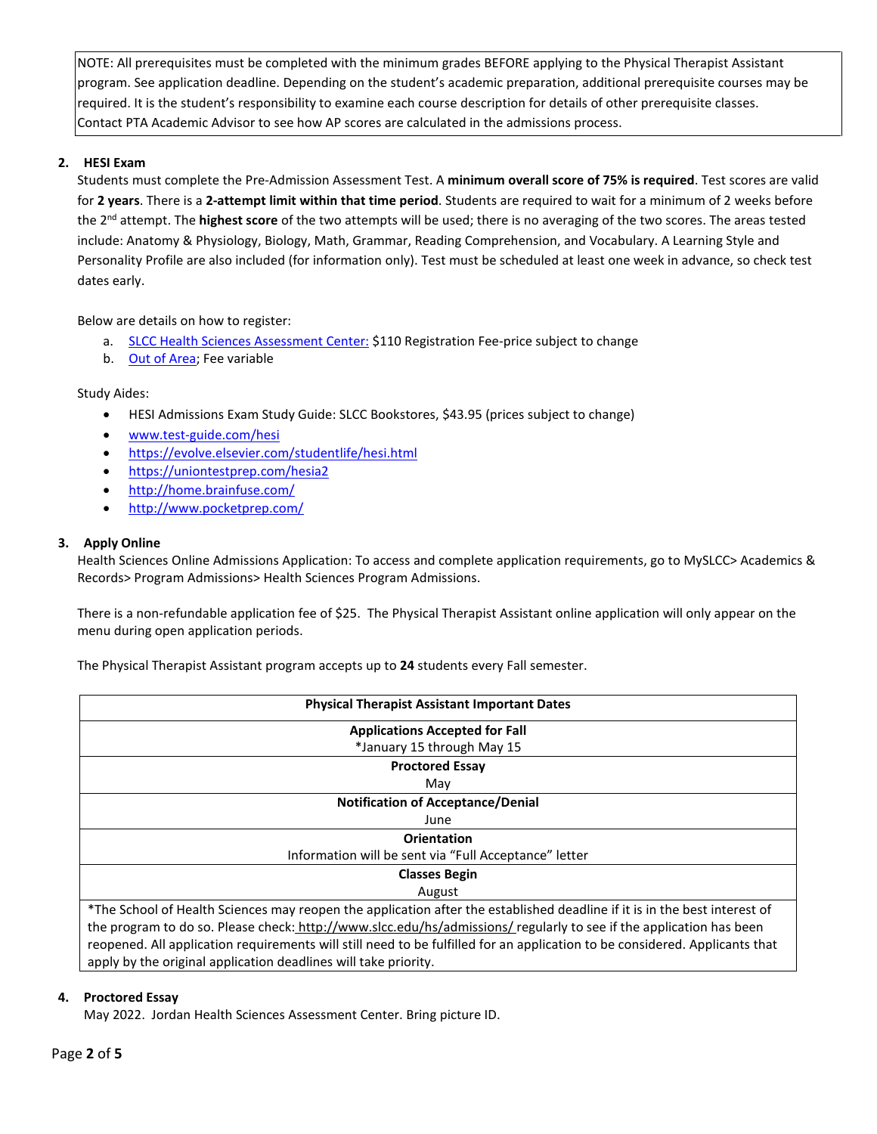NOTE: All prerequisites must be completed with the minimum grades BEFORE applying to the Physical Therapist Assistant program. See application deadline. Depending on the student's academic preparation, additional prerequisite courses may be required. It is the student's responsibility to examine each course description for details of other prerequisite classes. Contact PTA Academic Advisor to see how AP scores are calculated in the admissions process.

# **2. HESI Exam**

Students must complete the Pre-Admission Assessment Test. A **minimum overall score of 75% is required**. Test scores are valid for **2 years**. There is a **2-attempt limit within that time period**. Students are required to wait for a minimum of 2 weeks before the 2nd attempt. The **highest score** of the two attempts will be used; there is no averaging of the two scores. The areas tested include: Anatomy & Physiology, Biology, Math, Grammar, Reading Comprehension, and Vocabulary. A Learning Style and Personality Profile are also included (for information only). Test must be scheduled at least one week in advance, so check test dates early.

Below are details on how to register:

- a. [SLCC Health Sciences Assessment Center:](https://www.slcc.edu/testing/health-science/hesi-info.aspx) \$110 Registration Fee-price subject to change
- b. [Out of Area;](https://www.prometric.com/elsevier) Fee variable

Study Aides:

- HESI Admissions Exam Study Guide: SLCC Bookstores, \$43.95 (prices subject to change)
- [www.test-guide.com/hesi](http://www.test-guide.com/hesi)
- <https://evolve.elsevier.com/studentlife/hesi.html>
- <https://uniontestprep.com/hesia2>
- <http://home.brainfuse.com/>
- <http://www.pocketprep.com/>

# **3. Apply Online**

Health Sciences Online Admissions Application: To access and complete application requirements, go to MySLCC> Academics & Records> Program Admissions> Health Sciences Program Admissions.

There is a non-refundable application fee of \$25. The Physical Therapist Assistant online application will only appear on the menu during open application periods.

The Physical Therapist Assistant program accepts up to **24** students every Fall semester.

| <b>Physical Therapist Assistant Important Dates</b>                                                                         |  |  |  |  |
|-----------------------------------------------------------------------------------------------------------------------------|--|--|--|--|
| <b>Applications Accepted for Fall</b>                                                                                       |  |  |  |  |
| *January 15 through May 15                                                                                                  |  |  |  |  |
| <b>Proctored Essay</b>                                                                                                      |  |  |  |  |
| May                                                                                                                         |  |  |  |  |
| <b>Notification of Acceptance/Denial</b>                                                                                    |  |  |  |  |
| June                                                                                                                        |  |  |  |  |
| <b>Orientation</b>                                                                                                          |  |  |  |  |
| Information will be sent via "Full Acceptance" letter                                                                       |  |  |  |  |
| <b>Classes Begin</b>                                                                                                        |  |  |  |  |
| August                                                                                                                      |  |  |  |  |
| *The School of Health Sciences may reopen the application after the established deadline if it is in the best interest of   |  |  |  |  |
| the program to do so. Please check: http://www.slcc.edu/hs/admissions/ regularly to see if the application has been         |  |  |  |  |
| reopened. All application requirements will still need to be fulfilled for an application to be considered. Applicants that |  |  |  |  |
| apply by the original application deadlines will take priority.                                                             |  |  |  |  |

# **4. Proctored Essay**

May 2022. Jordan Health Sciences Assessment Center. Bring picture ID.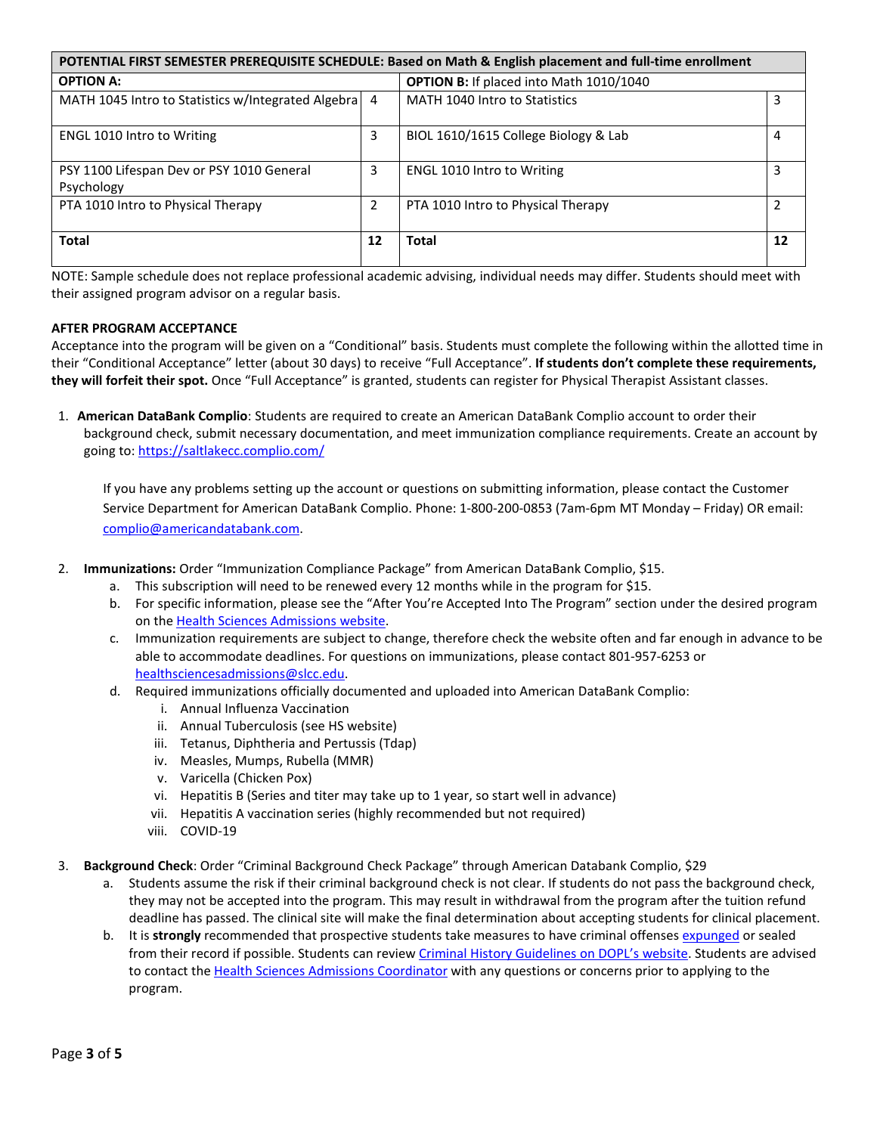| POTENTIAL FIRST SEMESTER PREREQUISITE SCHEDULE: Based on Math & English placement and full-time enrollment |    |                                                |    |  |
|------------------------------------------------------------------------------------------------------------|----|------------------------------------------------|----|--|
| <b>OPTION A:</b>                                                                                           |    | <b>OPTION B:</b> If placed into Math 1010/1040 |    |  |
| MATH 1045 Intro to Statistics w/Integrated Algebra 4                                                       |    | MATH 1040 Intro to Statistics                  | 3  |  |
| <b>ENGL 1010 Intro to Writing</b>                                                                          | 3  | BIOL 1610/1615 College Biology & Lab           | 4  |  |
| PSY 1100 Lifespan Dev or PSY 1010 General<br>Psychology                                                    | 3  | <b>ENGL 1010 Intro to Writing</b>              | 3  |  |
| PTA 1010 Intro to Physical Therapy                                                                         | 2  | PTA 1010 Intro to Physical Therapy             |    |  |
| <b>Total</b>                                                                                               | 12 | <b>Total</b>                                   | 12 |  |

NOTE: Sample schedule does not replace professional academic advising, individual needs may differ. Students should meet with their assigned program advisor on a regular basis.

# **AFTER PROGRAM ACCEPTANCE**

Acceptance into the program will be given on a "Conditional" basis. Students must complete the following within the allotted time in their "Conditional Acceptance" letter (about 30 days) to receive "Full Acceptance". **If students don't complete these requirements, they will forfeit their spot.** Once "Full Acceptance" is granted, students can register for Physical Therapist Assistant classes.

1. **American DataBank Complio**: Students are required to create an American DataBank Complio account to order their background check, submit necessary documentation, and meet immunization compliance requirements. Create an account by going to[: https://saltlakecc.complio.com/](https://saltlakecc.complio.com/)

If you have any problems setting up the account or questions on submitting information, please contact the Customer Service Department for American DataBank Complio. Phone: 1-800-200-0853 (7am-6pm MT Monday – Friday) OR email: [complio@americandatabank.com.](mailto:complio@americandatabank.com) 

- 2. **Immunizations:** Order "Immunization Compliance Package" from American DataBank Complio, \$15.
	- a. This subscription will need to be renewed every 12 months while in the program for \$15.
	- b. For specific information, please see the "After You're Accepted Into The Program" section under the desired program on the [Health Sciences Admissions website.](http://www.slcc.edu/hs/admissions/index.aspx)
	- c. Immunization requirements are subject to change, therefore check the website often and far enough in advance to be able to accommodate deadlines. For questions on immunizations, please contact 801-957-6253 or [healthsciencesadmissions@slcc.edu.](mailto:healthsciencesadmissions@slcc.edu)
	- d. Required immunizations officially documented and uploaded into American DataBank Complio:
		- i. Annual Influenza Vaccination
		- ii. Annual Tuberculosis (see HS website)
		- iii. Tetanus, Diphtheria and Pertussis (Tdap)
		- iv. Measles, Mumps, Rubella (MMR)
		- v. Varicella (Chicken Pox)
		- vi. Hepatitis B (Series and titer may take up to 1 year, so start well in advance)
		- vii. Hepatitis A vaccination series (highly recommended but not required)
		- viii. COVID-19
- 3. **Background Check**: Order "Criminal Background Check Package" through American Databank Complio, \$29
	- a. Students assume the risk if their criminal background check is not clear. If students do not pass the background check, they may not be accepted into the program. This may result in withdrawal from the program after the tuition refund deadline has passed. The clinical site will make the final determination about accepting students for clinical placement.
	- b. It is strongly recommended that prospective students take measures to have criminal offense[s expunged](https://www.utcourts.gov/howto/expunge/) or sealed from their record if possible. Students can revie[w Criminal History Guidelines on DOPL's website.](https://dopl.utah.gov/pt/) Students are advised to contact th[e Health Sciences Admissions Coordinator](mailto:healthsciencesadmissions@slcc.edu) with any questions or concerns prior to applying to the program.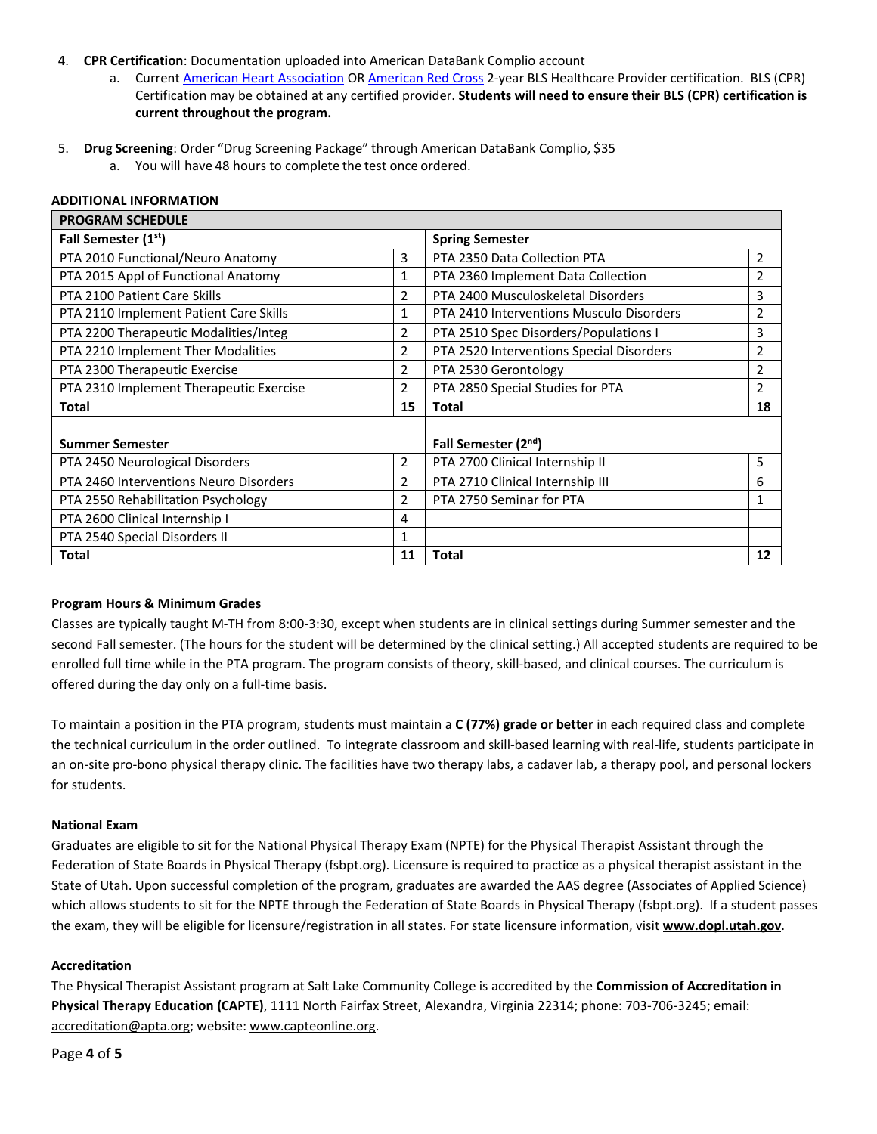### 4. **CPR Certification**: Documentation uploaded into American DataBank Complio account

- a. Current [American Heart Association](http://www.heart.org/) OR [American Red Cross](http://www.redcross.org/) 2-year BLS Healthcare Provider certification. BLS (CPR) Certification may be obtained at any certified provider. **Students will need to ensure their BLS (CPR) certification is current throughout the program.**
- 5. **Drug Screening**: Order "Drug Screening Package" through American DataBank Complio, \$35
	- a. You will have 48 hours to complete the test once ordered.

### **ADDITIONAL INFORMATION**

| <b>PROGRAM SCHEDULE</b>                 |                |                                          |                |  |
|-----------------------------------------|----------------|------------------------------------------|----------------|--|
| Fall Semester (1 <sup>st</sup> )        |                | <b>Spring Semester</b>                   |                |  |
| PTA 2010 Functional/Neuro Anatomy       | 3              | PTA 2350 Data Collection PTA             | $\overline{2}$ |  |
| PTA 2015 Appl of Functional Anatomy     | 1              | PTA 2360 Implement Data Collection       | $\overline{2}$ |  |
| PTA 2100 Patient Care Skills            | 2              | PTA 2400 Musculoskeletal Disorders       | 3              |  |
| PTA 2110 Implement Patient Care Skills  | 1              | PTA 2410 Interventions Musculo Disorders | $\overline{2}$ |  |
| PTA 2200 Therapeutic Modalities/Integ   | 2              | PTA 2510 Spec Disorders/Populations I    | 3              |  |
| PTA 2210 Implement Ther Modalities      | $\overline{2}$ | PTA 2520 Interventions Special Disorders | $\overline{2}$ |  |
| PTA 2300 Therapeutic Exercise           | 2              | PTA 2530 Gerontology                     | $\overline{2}$ |  |
| PTA 2310 Implement Therapeutic Exercise | 2              | PTA 2850 Special Studies for PTA         | $\overline{2}$ |  |
| <b>Total</b>                            | 15             | <b>Total</b>                             | 18             |  |
|                                         |                |                                          |                |  |
| <b>Summer Semester</b>                  |                | Fall Semester (2 <sup>nd</sup> )         |                |  |
| PTA 2450 Neurological Disorders         | 2              | PTA 2700 Clinical Internship II          | 5              |  |
| PTA 2460 Interventions Neuro Disorders  | 2              | PTA 2710 Clinical Internship III         | 6              |  |
| PTA 2550 Rehabilitation Psychology      | 2              | PTA 2750 Seminar for PTA                 | $\mathbf{1}$   |  |
| PTA 2600 Clinical Internship I          | 4              |                                          |                |  |
| PTA 2540 Special Disorders II           | 1              |                                          |                |  |
| <b>Total</b>                            | 11             | <b>Total</b>                             | 12             |  |

### **Program Hours & Minimum Grades**

Classes are typically taught M-TH from 8:00-3:30, except when students are in clinical settings during Summer semester and the second Fall semester. (The hours for the student will be determined by the clinical setting.) All accepted students are required to be enrolled full time while in the PTA program. The program consists of theory, skill-based, and clinical courses. The curriculum is offered during the day only on a full-time basis.

To maintain a position in the PTA program, students must maintain a **C (77%) grade or better** in each required class and complete the technical curriculum in the order outlined. To integrate classroom and skill-based learning with real-life, students participate in an on-site pro-bono physical therapy clinic. The facilities have two therapy labs, a cadaver lab, a therapy pool, and personal lockers for students.

### **National Exam**

Graduates are eligible to sit for the National Physical Therapy Exam (NPTE) for the Physical Therapist Assistant through the Federation of State Boards in Physical Therapy (fsbpt.org). Licensure is required to practice as a physical therapist assistant in the State of Utah. Upon successful completion of the program, graduates are awarded the AAS degree (Associates of Applied Science) which allows students to sit for the NPTE through the Federation of State Boards in Physical Therapy (fsbpt.org). If a student passes the exam, they will be eligible for licensure/registration in all states. For state licensure information, visit **[www.dopl.utah.gov](http://www.dopl.utah.gov/)**.

### **Accreditation**

The Physical Therapist Assistant program at Salt Lake Community College is accredited by the **Commission of Accreditation in Physical Therapy Education (CAPTE)**, 1111 North Fairfax Street, Alexandra, Virginia 22314; phone: 703-706-3245; email: [accreditation@apta.org;](mailto:accreditation@apta.org) website[: www.capteonline.org.](http://www.capteonline.org/)